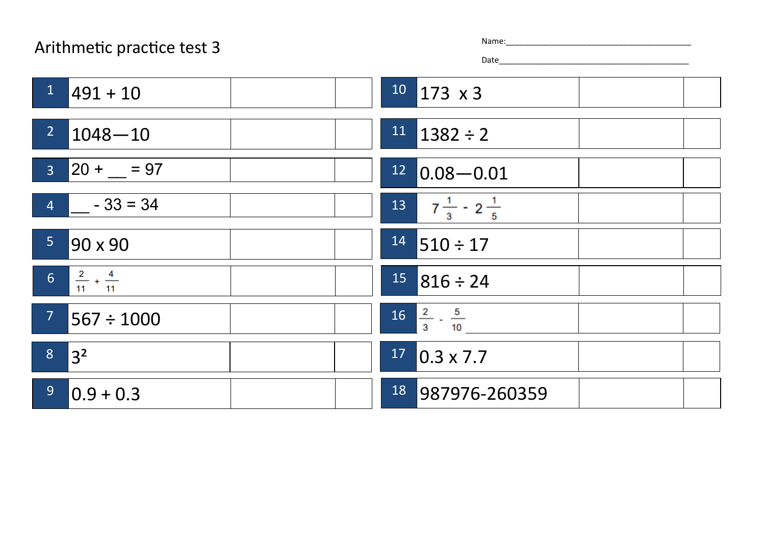## Arithmetic practice test 3

| ٦e: |  |  |  |  |  |
|-----|--|--|--|--|--|
|     |  |  |  |  |  |

Date\_\_\_\_\_\_\_\_\_\_\_\_\_\_\_\_\_\_\_\_\_\_\_\_\_\_\_\_\_\_\_\_\_\_\_\_\_\_\_\_\_\_

| 1<br>$ 491 + 10$                                | $10$ 173 x 3                           |
|-------------------------------------------------|----------------------------------------|
| 2 <sup>7</sup><br>$ 1048 - 10$                  | $11$   1382 ÷ 2                        |
| $ 20 + 97 $<br>3 <sup>7</sup>                   | 12<br>$ 0.08 - 0.01$                   |
| $4 \mid -33 = 34$                               | $13 \t 7 \frac{1}{3} \t 2 \frac{1}{5}$ |
| 5 <sup>1</sup><br>90 x 90                       | $14$ 510 ÷ 17                          |
| $\frac{2}{11} + \frac{4}{11}$<br>6 <sup>1</sup> | $15$ 816 ÷ 24                          |
| 7 <sup>7</sup><br>$ 567 \div 1000$              | $16\frac{2}{3} \cdot \frac{5}{10}$     |
| 8<br>$ 3^2$                                     | 17<br>$0.3 \times 7.7$                 |
| 9 <sup>°</sup><br>$ 0.9 + 0.3$                  | 18 987976-260359                       |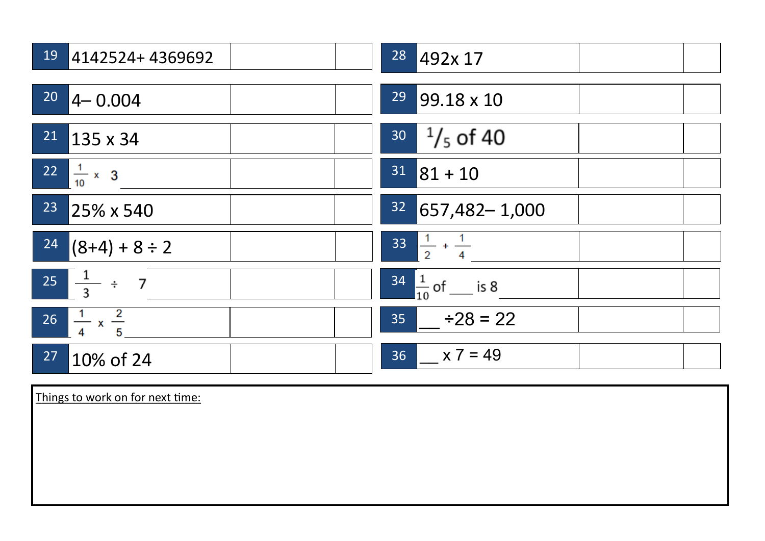| $19$ 4142524+4369692                | 28<br>492x 17                 |
|-------------------------------------|-------------------------------|
| $20$ 4 - 0.004                      | 29<br>99.18 x 10              |
| $21$ 135 x 34                       | $30 - \frac{1}{5}$ of 40      |
| $22 \frac{1}{10} \times 3$          | $31$ 81 + 10                  |
| <sup>23</sup> 25% x 540             | $32$ 657,482-1,000            |
| $24$ (8+4) + 8 ÷ 2                  | $33\frac{1}{2} + \frac{1}{4}$ |
| $25 \frac{1}{3} \div 7$             | $\frac{34}{10}$ of ___ is 8   |
| 26 $\frac{1}{4} \times \frac{2}{5}$ | $35$ $\div 28 = 22$           |
| 27<br>10% of 24                     | $36$ $x 7 = 49$               |

Things to work on for next time: